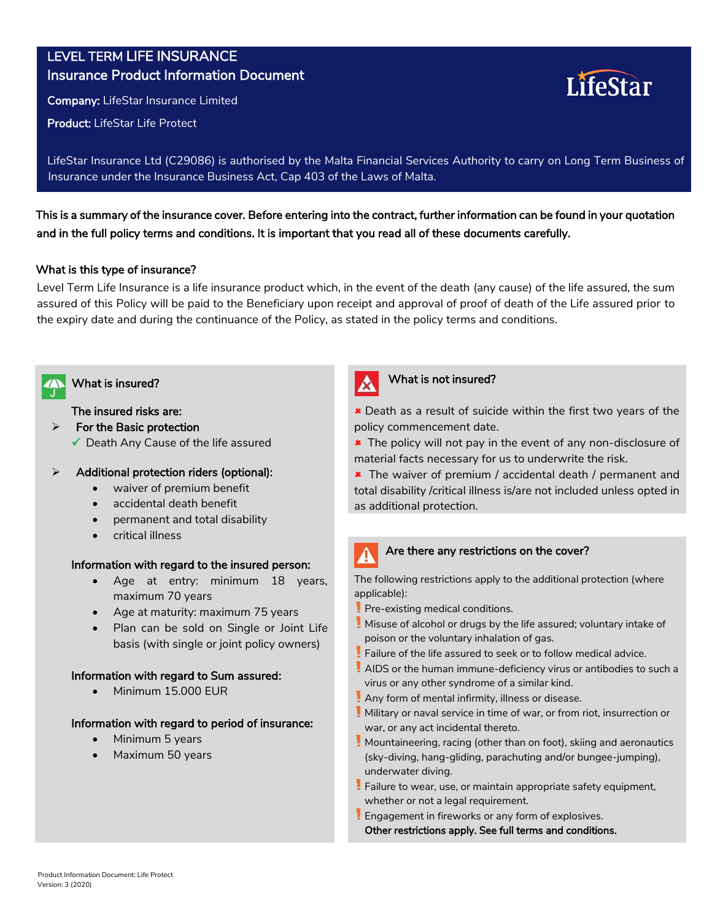# LEVEL TERM LIFE INSURANCE Insurance Product Information Document

Company: LifeStar Insurance Limited

Product: LifeStar Life Protect

LifeStar Insurance Ltd (C29086) is authorised by the Malta Financial Services Authority to carry on Long Term Business of Insurance under the Insurance Business Act, Cap 403 of the Laws of Malta.

This is a summary of the insurance cover. Before entering into the contract, further information can be found in your quotation and in the full policy terms and conditions. It is important that you read all of these documents carefully.

# What is this type of insurance?

Level Term Life Insurance is a life insurance product which, in the event of the death (any cause) of the life assured, the sum assured of this Policy will be paid to the Beneficiary upon receipt and approval of proof of death of the Life assured prior to the expiry date and during the continuance of the Policy, as stated in the policy terms and conditions.



## The insured risks are:

- $\triangleright$  For the Basic protection
	- $\checkmark$  Death Any Cause of the life assured

# $\triangleright$  Additional protection riders (optional):

- waiver of premium benefit
- accidental death benefit
- permanent and total disability
- critical illness

# Information with regard to the insured person:

- Age at entry: minimum 18 years, maximum 70 years
- Age at maturity: maximum 75 years
- Plan can be sold on Single or Joint Life basis (with single or joint policy owners)

## Information with regard to Sum assured:

• Minimum 15.000 EUR

## Information with regard to period of insurance:

- Minimum 5 years
- Maximum 50 years



# What is insured? What is not insured?

 Death as a result of suicide within the first two years of the policy commencement date.

LifeStar

**\*** The policy will not pay in the event of any non-disclosure of material facts necessary for us to underwrite the risk.

**\*** The waiver of premium / accidental death / permanent and total disability /critical illness is/are not included unless opted in as additional protection.

## Are there any restrictions on the cover?

The following restrictions apply to the additional protection (where applicable):

- Pre-existing medical conditions.
- Misuse of alcohol or drugs by the life assured; voluntary intake of poison or the voluntary inhalation of gas.
- Failure of the life assured to seek or to follow medical advice.
- AIDS or the human immune-deficiency virus or antibodies to such a virus or any other syndrome of a similar kind.
- Any form of mental infirmity, illness or disease.
- **Cheltuieli medicale nerecomandate de medic** Military or naval service in time of war, or from riot, insurrection or war, or any act incidental thereto.
- **Spitalizare pentru mai puțin de 3 zile consecutive** Mountaineering, racing (other than on foot), skiing and aeronautics **Incapacitate temporară de muncă ca urmare a oricărui**  (sky-diving, hang-gliding, parachuting and/or bungee-jumping), underwater diving.
- anacrwater arving.<br>Failure to wear, use, or maintain appropriate safety equipment, **Interventual produse după 60 de aprilie de la data după 60 de aprilie de la data a la data a la data a la dat**<br>Intervenit
- Engagement in fireworks or any form of explosives.<br>———————————————————— Other restrictions apply. See full terms and conditions.